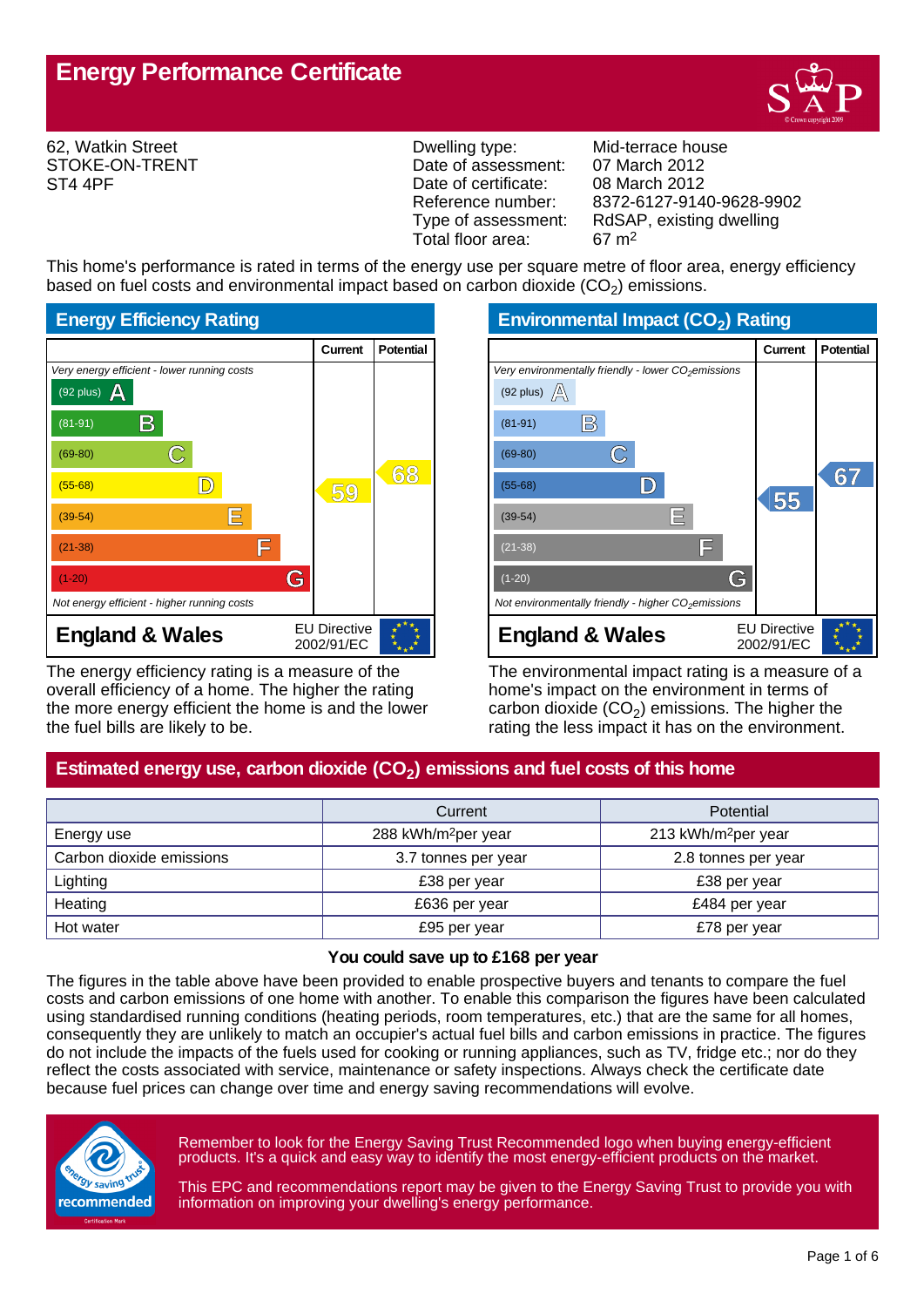

62, Watkin Street STOKE-ON-TRENT ST4 4PF

Dwelling type: Mid-terrace house Date of assessment: 07 March 2012<br>Date of certificate: 08 March 2012 Date of certificate:<br>Reference number: Total floor area: 67 m2

Reference number: 8372-6127-9140-9628-9902<br>Type of assessment: RdSAP, existing dwelling RdSAP, existing dwelling

This home's performance is rated in terms of the energy use per square metre of floor area, energy efficiency based on fuel costs and environmental impact based on carbon dioxide (CO<sub>2</sub>) emissions.



The energy efficiency rating is a measure of the overall efficiency of a home. The higher the rating the more energy efficient the home is and the lower the fuel bills are likely to be.

**Environmental Impact (CO<sup>2</sup> ) Rating**

|                                                                 | Current                           | <b>Potential</b> |
|-----------------------------------------------------------------|-----------------------------------|------------------|
| Very environmentally friendly - lower CO <sub>2</sub> emissions |                                   |                  |
| (92 plus) $\mathbb{A}$                                          |                                   |                  |
| B)<br>$(81-91)$                                                 |                                   |                  |
| $(69-80)$                                                       |                                   |                  |
| $(55-68)$                                                       | 55                                | 67               |
| IΕ<br>$(39-54)$                                                 |                                   |                  |
| F<br>$(21-38)$                                                  |                                   |                  |
| G<br>$(1-20)$                                                   |                                   |                  |
| Not environmentally friendly - higher $CO2$ emissions           |                                   |                  |
| <b>England &amp; Wales</b>                                      | <b>EU Directive</b><br>2002/91/EC |                  |

The environmental impact rating is a measure of a home's impact on the environment in terms of carbon dioxide (CO<sub>2</sub>) emissions. The higher the rating the less impact it has on the environment.

# **Estimated energy use, carbon dioxide (CO<sup>2</sup> ) emissions and fuel costs of this home**

|                          | Current                         | Potential                       |
|--------------------------|---------------------------------|---------------------------------|
| Energy use               | 288 kWh/m <sup>2</sup> per year | 213 kWh/m <sup>2</sup> per year |
| Carbon dioxide emissions | 3.7 tonnes per year             | 2.8 tonnes per year             |
| Lighting                 | £38 per year                    | £38 per year                    |
| Heating                  | £636 per year                   | £484 per year                   |
| Hot water                | £95 per year                    | £78 per year                    |

### **You could save up to £168 per year**

The figures in the table above have been provided to enable prospective buyers and tenants to compare the fuel costs and carbon emissions of one home with another. To enable this comparison the figures have been calculated using standardised running conditions (heating periods, room temperatures, etc.) that are the same for all homes, consequently they are unlikely to match an occupier's actual fuel bills and carbon emissions in practice. The figures do not include the impacts of the fuels used for cooking or running appliances, such as TV, fridge etc.; nor do they reflect the costs associated with service, maintenance or safety inspections. Always check the certificate date because fuel prices can change over time and energy saving recommendations will evolve.



Remember to look for the Energy Saving Trust Recommended logo when buying energy-efficient products. It's a quick and easy way to identify the most energy-efficient products on the market.

This EPC and recommendations report may be given to the Energy Saving Trust to provide you with information on improving your dwelling's energy performance.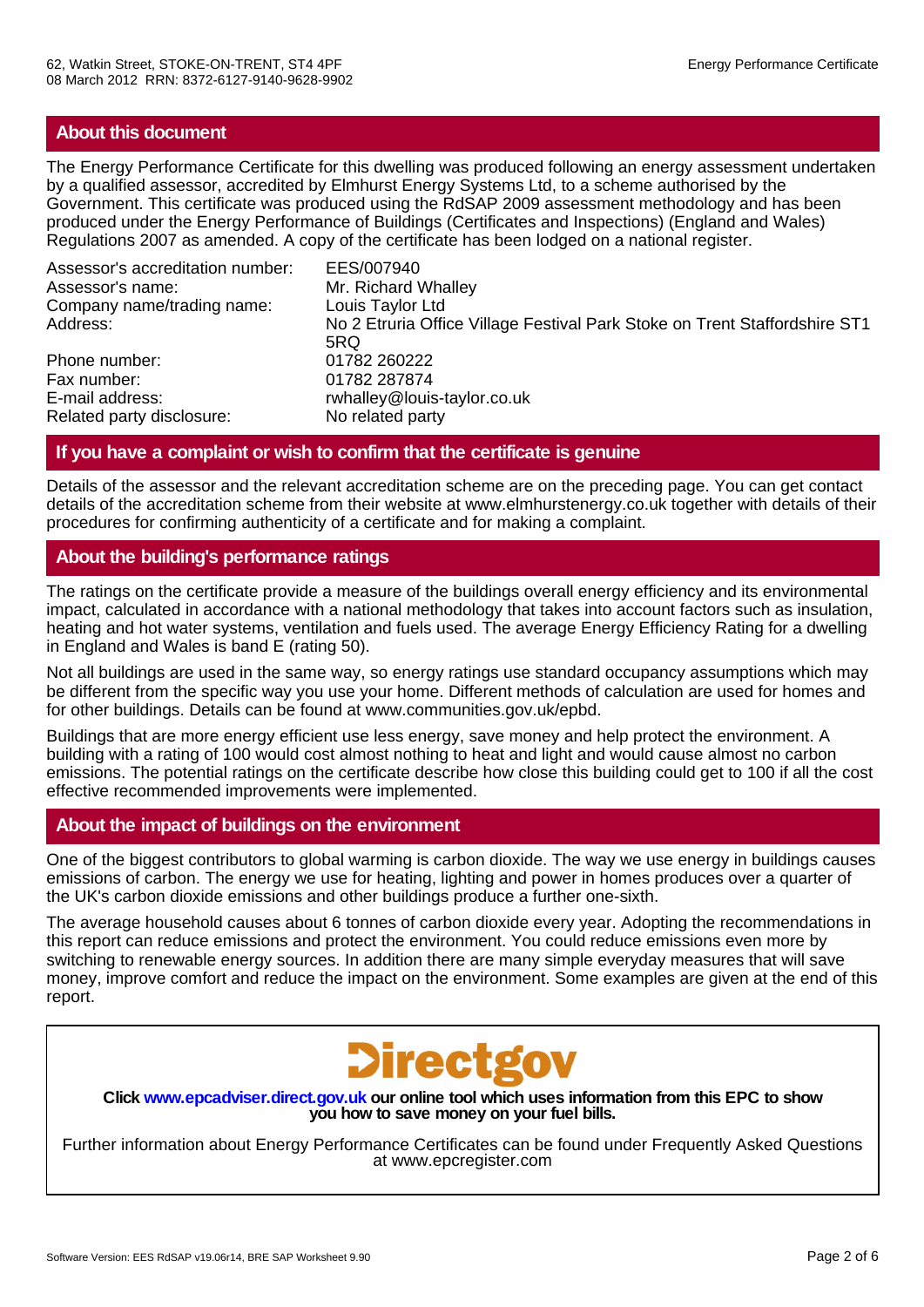# **About this document**

The Energy Performance Certificate for this dwelling was produced following an energy assessment undertaken by a qualified assessor, accredited by Elmhurst Energy Systems Ltd, to a scheme authorised by the Government. This certificate was produced using the RdSAP 2009 assessment methodology and has been produced under the Energy Performance of Buildings (Certificates and Inspections) (England and Wales) Regulations 2007 as amended. A copy of the certificate has been lodged on a national register.

| Assessor's accreditation number: | EES/007940                                                                 |
|----------------------------------|----------------------------------------------------------------------------|
| Assessor's name:                 | Mr. Richard Whalley                                                        |
| Company name/trading name:       | Louis Taylor Ltd                                                           |
| Address:                         | No 2 Etruria Office Village Festival Park Stoke on Trent Staffordshire ST1 |
|                                  | 5RQ                                                                        |
| Phone number:                    | 01782 260222                                                               |
| Fax number:                      | 01782 287874                                                               |
| E-mail address:                  | rwhalley@louis-taylor.co.uk                                                |
| Related party disclosure:        | No related party                                                           |

# **If you have a complaint or wish to confirm that the certificate is genuine**

Details of the assessor and the relevant accreditation scheme are on the preceding page. You can get contact details of the accreditation scheme from their website at www.elmhurstenergy.co.uk together with details of their procedures for confirming authenticity of a certificate and for making a complaint.

# **About the building's performance ratings**

The ratings on the certificate provide a measure of the buildings overall energy efficiency and its environmental impact, calculated in accordance with a national methodology that takes into account factors such as insulation, heating and hot water systems, ventilation and fuels used. The average Energy Efficiency Rating for a dwelling in England and Wales is band E (rating 50).

Not all buildings are used in the same way, so energy ratings use standard occupancy assumptions which may be different from the specific way you use your home. Different methods of calculation are used for homes and for other buildings. Details can be found at www.communities.gov.uk/epbd.

Buildings that are more energy efficient use less energy, save money and help protect the environment. A building with a rating of 100 would cost almost nothing to heat and light and would cause almost no carbon emissions. The potential ratings on the certificate describe how close this building could get to 100 if all the cost effective recommended improvements were implemented.

# **About the impact of buildings on the environment**

One of the biggest contributors to global warming is carbon dioxide. The way we use energy in buildings causes emissions of carbon. The energy we use for heating, lighting and power in homes produces over a quarter of the UK's carbon dioxide emissions and other buildings produce a further one-sixth.

The average household causes about 6 tonnes of carbon dioxide every year. Adopting the recommendations in this report can reduce emissions and protect the environment. You could reduce emissions even more by switching to renewable energy sources. In addition there are many simple everyday measures that will save money, improve comfort and reduce the impact on the environment. Some examples are given at the end of this report.



**Click www.epcadviser.direct.gov.uk our online tool which uses information from this EPC to show you how to save money on your fuel bills.**

Further information about Energy Performance Certificates can be found under Frequently Asked Questions at www.epcregister.com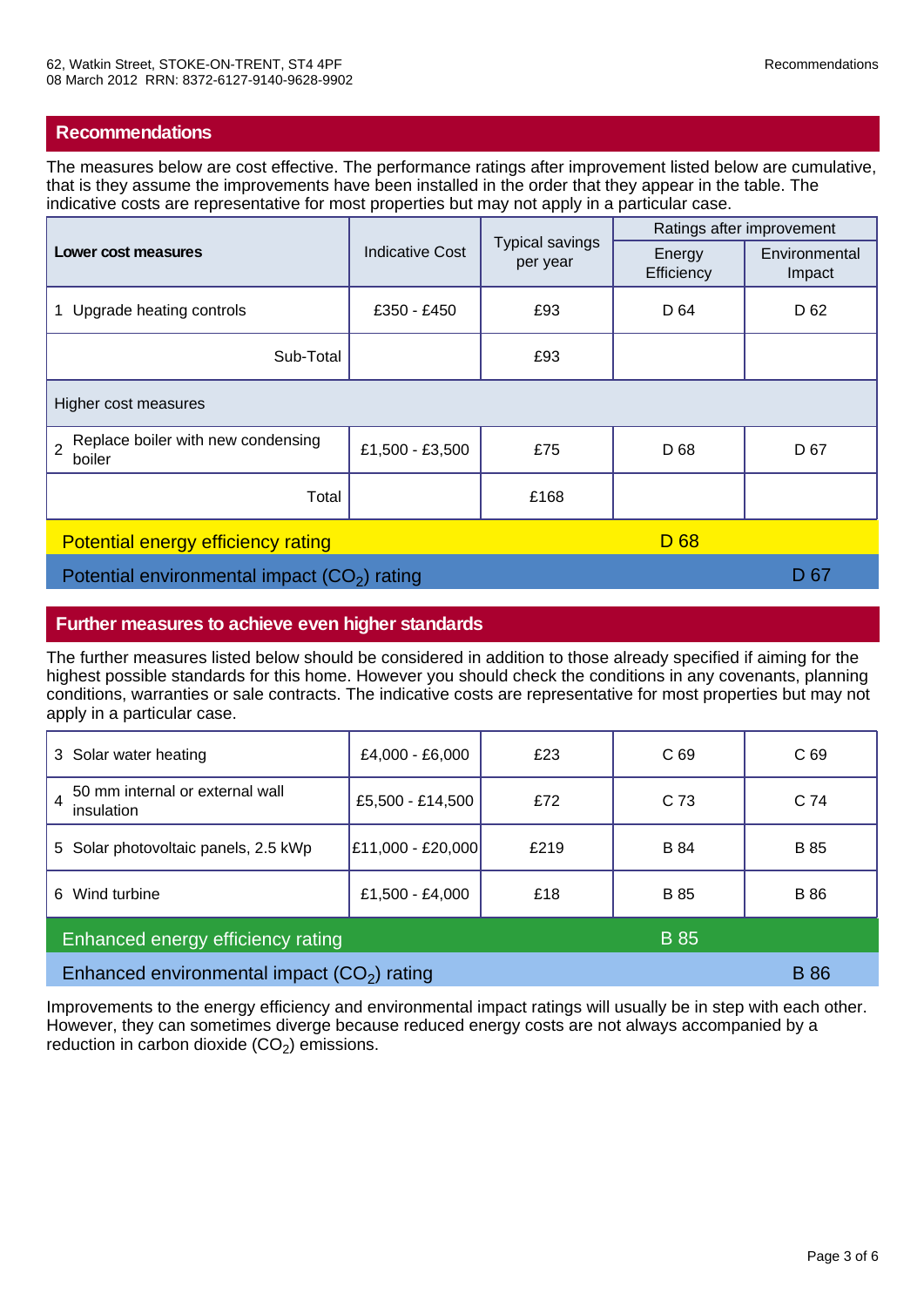The measures below are cost effective. The performance ratings after improvement listed below are cumulative, that is they assume the improvements have been installed in the order that they appear in the table. The indicative costs are representative for most properties but may not apply in a particular case.

| Lower cost measures                                            | <b>Indicative Cost</b> | <b>Typical savings</b><br>per year | Ratings after improvement |                         |
|----------------------------------------------------------------|------------------------|------------------------------------|---------------------------|-------------------------|
|                                                                |                        |                                    | Energy<br>Efficiency      | Environmental<br>Impact |
| Upgrade heating controls                                       | £350 - £450            | £93                                | D 64                      | D 62                    |
| Sub-Total                                                      |                        | £93                                |                           |                         |
| Higher cost measures                                           |                        |                                    |                           |                         |
| Replace boiler with new condensing<br>$\overline{2}$<br>boiler | £1,500 - £3,500        | £75                                | D 68                      | D 67                    |
| Total                                                          |                        | £168                               |                           |                         |
| Potential energy efficiency rating<br>D <sub>68</sub>          |                        |                                    |                           |                         |
| Potential environmental impact $(CO2)$ rating                  |                        |                                    | D 67                      |                         |

# **Further measures to achieve even higher standards**

The further measures listed below should be considered in addition to those already specified if aiming for the highest possible standards for this home. However you should check the conditions in any covenants, planning conditions, warranties or sale contracts. The indicative costs are representative for most properties but may not apply in a particular case.

| 3 Solar water heating                              | £4,000 - £6,000   | £23  | C <sub>69</sub> | C <sub>69</sub> |
|----------------------------------------------------|-------------------|------|-----------------|-----------------|
| 50 mm internal or external wall<br>4<br>insulation | £5,500 - £14,500  | £72  | C <sub>73</sub> | C <sub>74</sub> |
| 5 Solar photovoltaic panels, 2.5 kWp               | £11,000 - £20,000 | £219 | <b>B</b> 84     | <b>B</b> 85     |
| Wind turbine<br>6                                  | £1,500 - £4,000   | £18  | <b>B</b> 85     | B 86            |
| Enhanced energy efficiency rating<br><b>B</b> 85   |                   |      |                 |                 |
| Enhanced environmental impact $(CO2)$ rating       |                   |      | <b>B</b> 86     |                 |

Improvements to the energy efficiency and environmental impact ratings will usually be in step with each other. However, they can sometimes diverge because reduced energy costs are not always accompanied by a reduction in carbon dioxide  $(CO_2)$  emissions.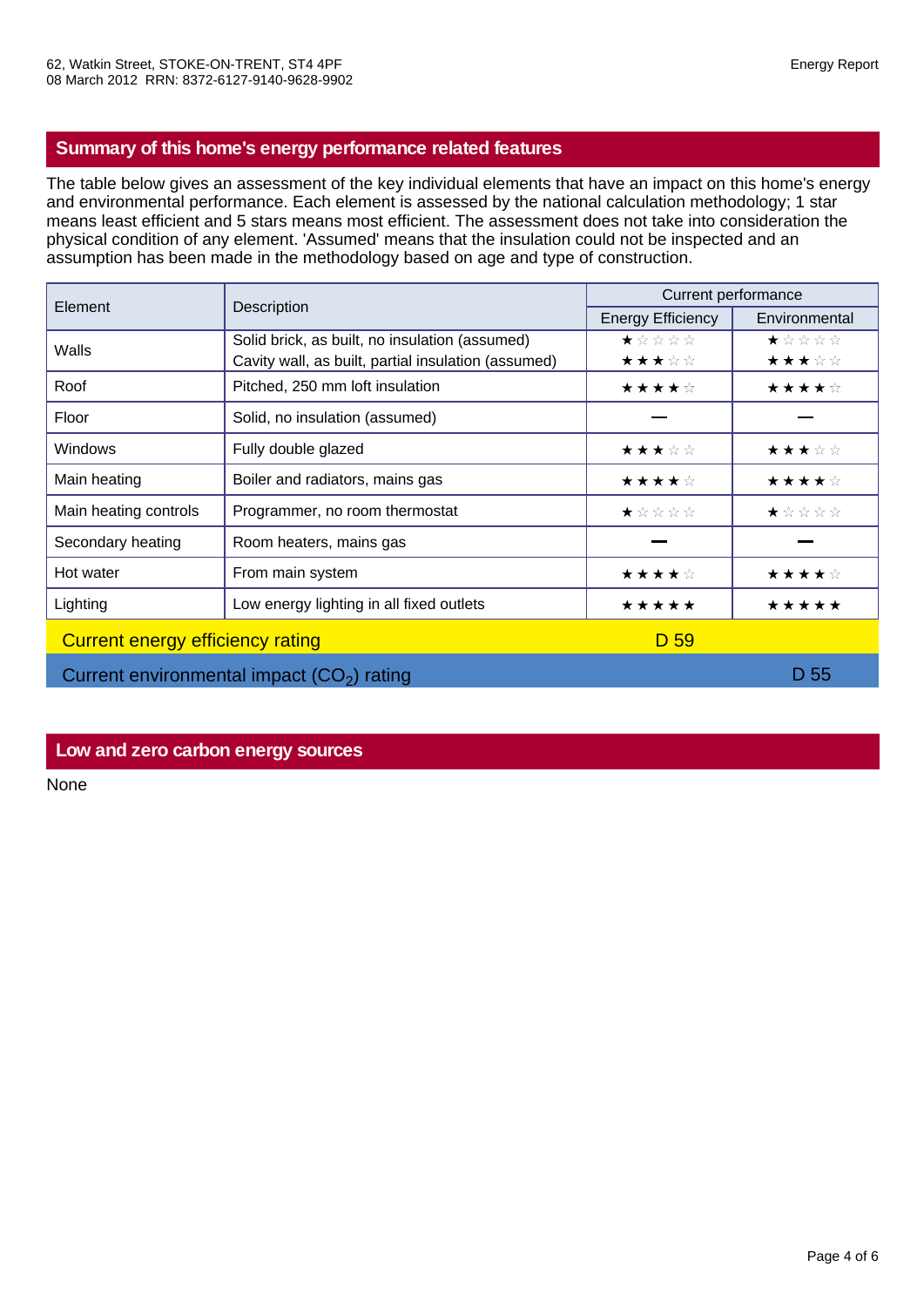# **Summary of this home's energy performance related features**

The table below gives an assessment of the key individual elements that have an impact on this home's energy and environmental performance. Each element is assessed by the national calculation methodology; 1 star means least efficient and 5 stars means most efficient. The assessment does not take into consideration the physical condition of any element. 'Assumed' means that the insulation could not be inspected and an assumption has been made in the methodology based on age and type of construction.

| Element                          |                                                     | Current performance      |               |  |
|----------------------------------|-----------------------------------------------------|--------------------------|---------------|--|
|                                  | Description                                         | <b>Energy Efficiency</b> | Environmental |  |
| Walls                            | Solid brick, as built, no insulation (assumed)      | ★☆☆☆☆                    | ★☆☆☆☆         |  |
|                                  | Cavity wall, as built, partial insulation (assumed) | ★★★☆☆                    | ★★★☆☆         |  |
| Roof                             | Pitched, 250 mm loft insulation                     | ★★★★☆                    | ★★★★☆         |  |
| Floor                            | Solid, no insulation (assumed)                      |                          |               |  |
| <b>Windows</b>                   | Fully double glazed                                 | ★★★☆☆                    | ★★★☆☆         |  |
| Main heating                     | Boiler and radiators, mains gas                     | ★★★★☆                    | ★★★★☆         |  |
| Main heating controls            | Programmer, no room thermostat                      | ★☆☆☆☆                    | ★☆☆☆☆         |  |
| Secondary heating                | Room heaters, mains gas                             |                          |               |  |
| Hot water                        | From main system                                    | ★★★★☆                    | ★★★★☆         |  |
| Lighting                         | Low energy lighting in all fixed outlets            | *****                    | *****         |  |
| Current energy efficiency rating |                                                     | D <sub>59</sub>          |               |  |
|                                  | Current environmental impact $(CO2)$ rating         |                          | D 55          |  |

# **Low and zero carbon energy sources**

None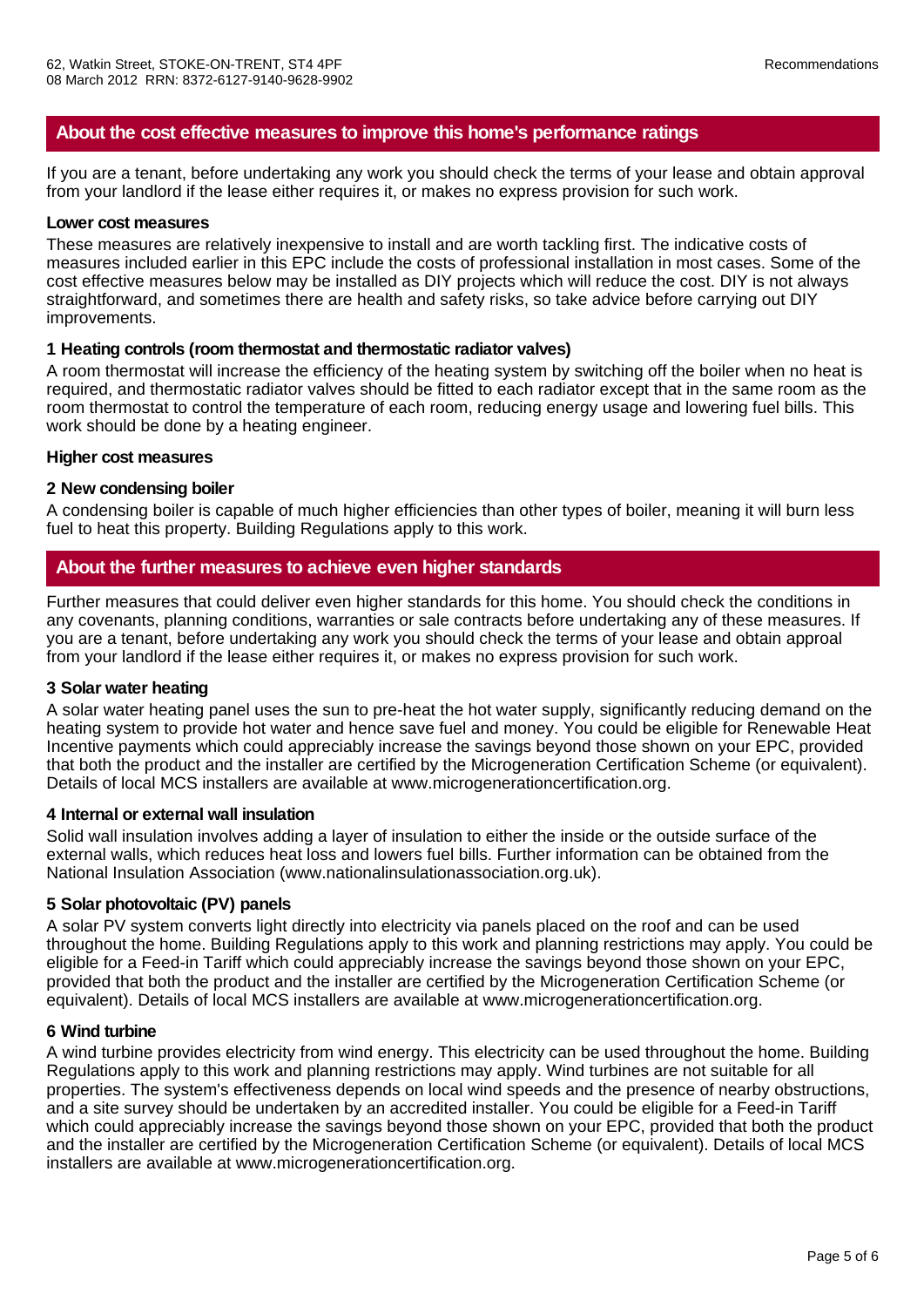# **About the cost effective measures to improve this home's performance ratings**

If you are a tenant, before undertaking any work you should check the terms of your lease and obtain approval from your landlord if the lease either requires it, or makes no express provision for such work.

#### **Lower cost measures**

These measures are relatively inexpensive to install and are worth tackling first. The indicative costs of measures included earlier in this EPC include the costs of professional installation in most cases. Some of the cost effective measures below may be installed as DIY projects which will reduce the cost. DIY is not always straightforward, and sometimes there are health and safety risks, so take advice before carrying out DIY improvements.

### **1 Heating controls (room thermostat and thermostatic radiator valves)**

A room thermostat will increase the efficiency of the heating system by switching off the boiler when no heat is required, and thermostatic radiator valves should be fitted to each radiator except that in the same room as the room thermostat to control the temperature of each room, reducing energy usage and lowering fuel bills. This work should be done by a heating engineer.

#### **Higher cost measures**

#### **2 New condensing boiler**

A condensing boiler is capable of much higher efficiencies than other types of boiler, meaning it will burn less fuel to heat this property. Building Regulations apply to this work.

### **About the further measures to achieve even higher standards**

Further measures that could deliver even higher standards for this home. You should check the conditions in any covenants, planning conditions, warranties or sale contracts before undertaking any of these measures. If you are a tenant, before undertaking any work you should check the terms of your lease and obtain approal from your landlord if the lease either requires it, or makes no express provision for such work.

### **3 Solar water heating**

A solar water heating panel uses the sun to pre-heat the hot water supply, significantly reducing demand on the heating system to provide hot water and hence save fuel and money. You could be eligible for Renewable Heat Incentive payments which could appreciably increase the savings beyond those shown on your EPC, provided that both the product and the installer are certified by the Microgeneration Certification Scheme (or equivalent). Details of local MCS installers are available at www.microgenerationcertification.org.

### **4 Internal or external wall insulation**

Solid wall insulation involves adding a layer of insulation to either the inside or the outside surface of the external walls, which reduces heat loss and lowers fuel bills. Further information can be obtained from the National Insulation Association (www.nationalinsulationassociation.org.uk).

### **5 Solar photovoltaic (PV) panels**

A solar PV system converts light directly into electricity via panels placed on the roof and can be used throughout the home. Building Regulations apply to this work and planning restrictions may apply. You could be eligible for a Feed-in Tariff which could appreciably increase the savings beyond those shown on your EPC, provided that both the product and the installer are certified by the Microgeneration Certification Scheme (or equivalent). Details of local MCS installers are available at www.microgenerationcertification.org.

### **6 Wind turbine**

A wind turbine provides electricity from wind energy. This electricity can be used throughout the home. Building Regulations apply to this work and planning restrictions may apply. Wind turbines are not suitable for all properties. The system's effectiveness depends on local wind speeds and the presence of nearby obstructions, and a site survey should be undertaken by an accredited installer. You could be eligible for a Feed-in Tariff which could appreciably increase the savings beyond those shown on your EPC, provided that both the product and the installer are certified by the Microgeneration Certification Scheme (or equivalent). Details of local MCS installers are available at www.microgenerationcertification.org.